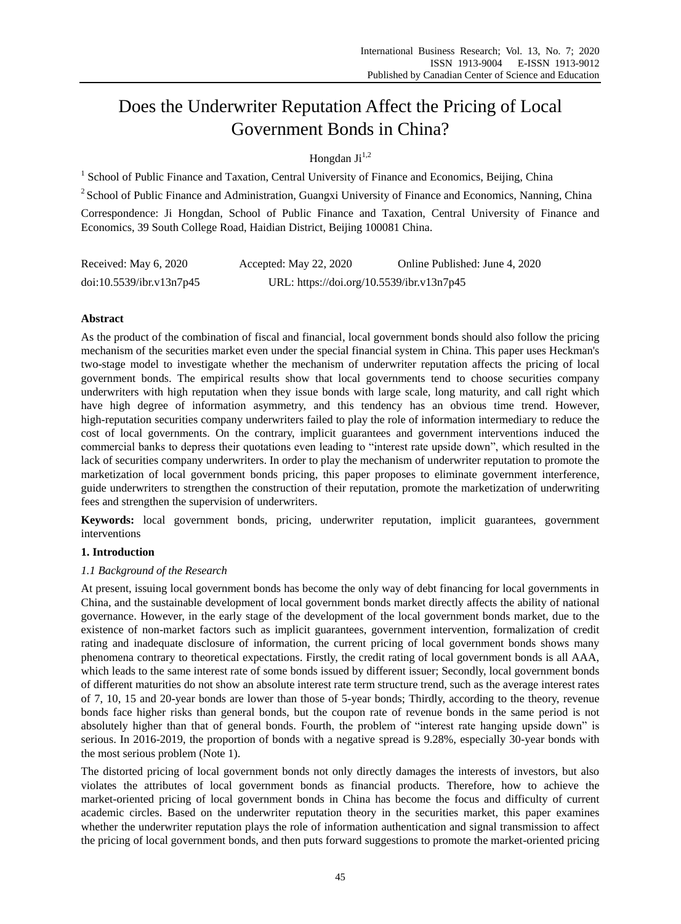# Does the Underwriter Reputation Affect the Pricing of Local Government Bonds in China?

# Hongdan  $\mathrm{Li}^{1,2}$

<sup>1</sup> School of Public Finance and Taxation, Central University of Finance and Economics, Beijing, China

<sup>2</sup> School of Public Finance and Administration, Guangxi University of Finance and Economics, Nanning, China

Correspondence: Ji Hongdan, School of Public Finance and Taxation, Central University of Finance and Economics, 39 South College Road, Haidian District, Beijing 100081 China.

| Received: May 6, 2020    | Accepted: May 22, 2020                    | Online Published: June 4, 2020 |
|--------------------------|-------------------------------------------|--------------------------------|
| doi:10.5539/ibr.v13n7p45 | URL: https://doi.org/10.5539/ibr.v13n7p45 |                                |

## **Abstract**

As the product of the combination of fiscal and financial, local government bonds should also follow the pricing mechanism of the securities market even under the special financial system in China. This paper uses Heckman's two-stage model to investigate whether the mechanism of underwriter reputation affects the pricing of local government bonds. The empirical results show that local governments tend to choose securities company underwriters with high reputation when they issue bonds with large scale, long maturity, and call right which have high degree of information asymmetry, and this tendency has an obvious time trend. However, high-reputation securities company underwriters failed to play the role of information intermediary to reduce the cost of local governments. On the contrary, implicit guarantees and government interventions induced the commercial banks to depress their quotations even leading to "interest rate upside down", which resulted in the lack of securities company underwriters. In order to play the mechanism of underwriter reputation to promote the marketization of local government bonds pricing, this paper proposes to eliminate government interference, guide underwriters to strengthen the construction of their reputation, promote the marketization of underwriting fees and strengthen the supervision of underwriters.

**Keywords:** local government bonds, pricing, underwriter reputation, implicit guarantees, government interventions

## **1. Introduction**

## *1.1 Background of the Research*

At present, issuing local government bonds has become the only way of debt financing for local governments in China, and the sustainable development of local government bonds market directly affects the ability of national governance. However, in the early stage of the development of the local government bonds market, due to the existence of non-market factors such as implicit guarantees, government intervention, formalization of credit rating and inadequate disclosure of information, the current pricing of local government bonds shows many phenomena contrary to theoretical expectations. Firstly, the credit rating of local government bonds is all AAA, which leads to the same interest rate of some bonds issued by different issuer; Secondly, local government bonds of different maturities do not show an absolute interest rate term structure trend, such as the average interest rates of 7, 10, 15 and 20-year bonds are lower than those of 5-year bonds; Thirdly, according to the theory, revenue bonds face higher risks than general bonds, but the coupon rate of revenue bonds in the same period is not absolutely higher than that of general bonds. Fourth, the problem of "interest rate hanging upside down" is serious. In 2016-2019, the proportion of bonds with a negative spread is 9.28%, especially 30-year bonds with the most serious problem (Note 1).

The distorted pricing of local government bonds not only directly damages the interests of investors, but also violates the attributes of local government bonds as financial products. Therefore, how to achieve the market-oriented pricing of local government bonds in China has become the focus and difficulty of current academic circles. Based on the underwriter reputation theory in the securities market, this paper examines whether the underwriter reputation plays the role of information authentication and signal transmission to affect the pricing of local government bonds, and then puts forward suggestions to promote the market-oriented pricing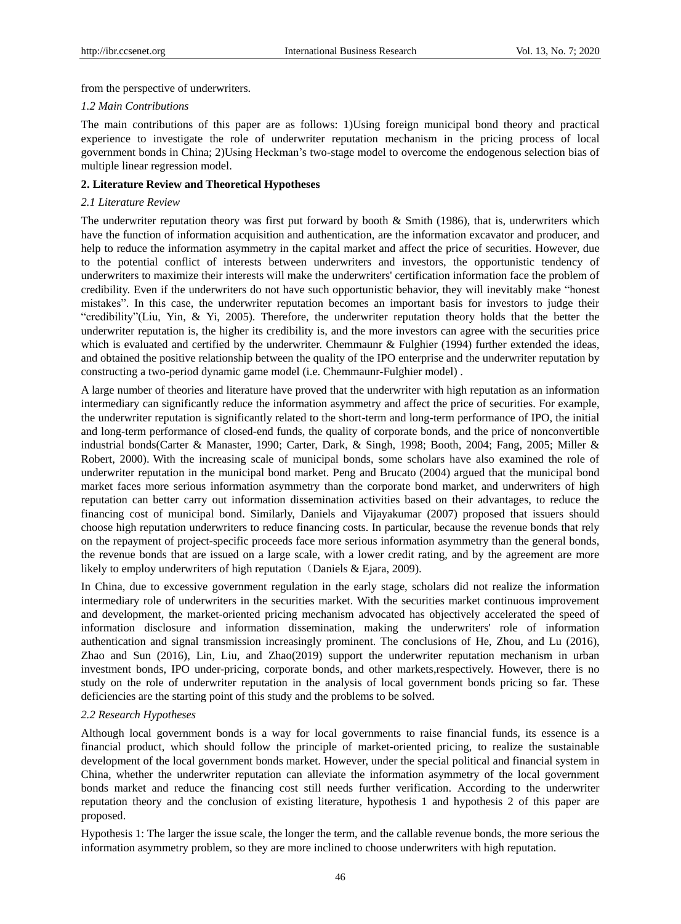from the perspective of underwriters.

#### *1.2 Main Contributions*

The main contributions of this paper are as follows: 1)Using foreign municipal bond theory and practical experience to investigate the role of underwriter reputation mechanism in the pricing process of local government bonds in China; 2)Using Heckman's two-stage model to overcome the endogenous selection bias of multiple linear regression model.

#### **2. Literature Review and Theoretical Hypotheses**

#### *2.1 Literature Review*

The underwriter reputation theory was first put forward by booth  $\&$  Smith (1986), that is, underwriters which have the function of information acquisition and authentication, are the information excavator and producer, and help to reduce the information asymmetry in the capital market and affect the price of securities. However, due to the potential conflict of interests between underwriters and investors, the opportunistic tendency of underwriters to maximize their interests will make the underwriters' certification information face the problem of credibility. Even if the underwriters do not have such opportunistic behavior, they will inevitably make "honest mistakes". In this case, the underwriter reputation becomes an important basis for investors to judge their "credibility"(Liu, Yin, & Yi, 2005). Therefore, the underwriter reputation theory holds that the better the underwriter reputation is, the higher its credibility is, and the more investors can agree with the securities price which is evaluated and certified by the underwriter. Chemmaunr & Fulghier (1994) further extended the ideas, and obtained the positive relationship between the quality of the IPO enterprise and the underwriter reputation by constructing a two-period dynamic game model (i.e. Chemmaunr-Fulghier model) .

A large number of theories and literature have proved that the underwriter with high reputation as an information intermediary can significantly reduce the information asymmetry and affect the price of securities. For example, the underwriter reputation is significantly related to the short-term and long-term performance of IPO, the initial and long-term performance of closed-end funds, the quality of corporate bonds, and the price of nonconvertible industrial bonds(Carter & Manaster, 1990; Carter, Dark, & Singh, 1998; Booth, 2004; Fang, 2005; Miller & Robert, 2000). With the increasing scale of municipal bonds, some scholars have also examined the role of underwriter reputation in the municipal bond market. Peng and Brucato (2004) argued that the municipal bond market faces more serious information asymmetry than the corporate bond market, and underwriters of high reputation can better carry out information dissemination activities based on their advantages, to reduce the financing cost of municipal bond. Similarly, Daniels and Vijayakumar (2007) proposed that issuers should choose high reputation underwriters to reduce financing costs. In particular, because the revenue bonds that rely on the repayment of project-specific proceeds face more serious information asymmetry than the general bonds, the revenue bonds that are issued on a large scale, with a lower credit rating, and by the agreement are more likely to employ underwriters of high reputation (Daniels & Ejara, 2009).

In China, due to excessive government regulation in the early stage, scholars did not realize the information intermediary role of underwriters in the securities market. With the securities market continuous improvement and development, the market-oriented pricing mechanism advocated has objectively accelerated the speed of information disclosure and information dissemination, making the underwriters' role of information authentication and signal transmission increasingly prominent. The conclusions of He, Zhou, and Lu (2016), Zhao and Sun (2016), Lin, Liu, and Zhao(2019) support the underwriter reputation mechanism in urban investment bonds, IPO under-pricing, corporate bonds, and other markets,respectively. However, there is no study on the role of underwriter reputation in the analysis of local government bonds pricing so far. These deficiencies are the starting point of this study and the problems to be solved.

#### *2.2 Research Hypotheses*

Although local government bonds is a way for local governments to raise financial funds, its essence is a financial product, which should follow the principle of market-oriented pricing, to realize the sustainable development of the local government bonds market. However, under the special political and financial system in China, whether the underwriter reputation can alleviate the information asymmetry of the local government bonds market and reduce the financing cost still needs further verification. According to the underwriter reputation theory and the conclusion of existing literature, hypothesis 1 and hypothesis 2 of this paper are proposed.

Hypothesis 1: The larger the issue scale, the longer the term, and the callable revenue bonds, the more serious the information asymmetry problem, so they are more inclined to choose underwriters with high reputation.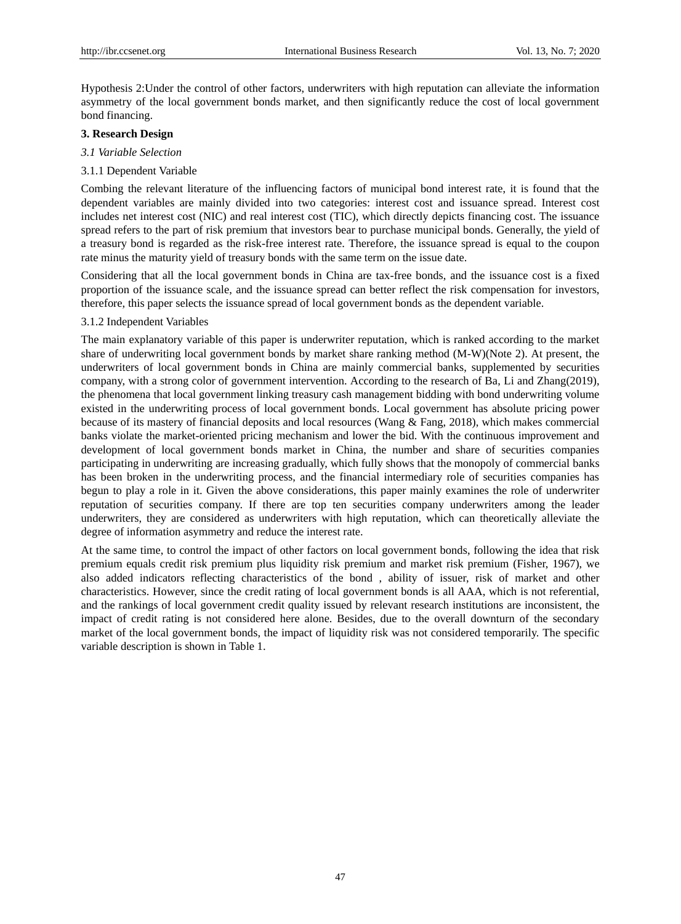Hypothesis 2:Under the control of other factors, underwriters with high reputation can alleviate the information asymmetry of the local government bonds market, and then significantly reduce the cost of local government bond financing.

#### **3. Research Design**

- *3.1 Variable Selection*
- 3.1.1 Dependent Variable

Combing the relevant literature of the influencing factors of municipal bond interest rate, it is found that the dependent variables are mainly divided into two categories: interest cost and issuance spread. Interest cost includes net interest cost (NIC) and real interest cost (TIC), which directly depicts financing cost. The issuance spread refers to the part of risk premium that investors bear to purchase municipal bonds. Generally, the yield of a treasury bond is regarded as the risk-free interest rate. Therefore, the issuance spread is equal to the coupon rate minus the maturity yield of treasury bonds with the same term on the issue date.

Considering that all the local government bonds in China are tax-free bonds, and the issuance cost is a fixed proportion of the issuance scale, and the issuance spread can better reflect the risk compensation for investors, therefore, this paper selects the issuance spread of local government bonds as the dependent variable.

#### 3.1.2 Independent Variables

The main explanatory variable of this paper is underwriter reputation, which is ranked according to the market share of underwriting local government bonds by market share ranking method (M-W)(Note 2). At present, the underwriters of local government bonds in China are mainly commercial banks, supplemented by securities company, with a strong color of government intervention. According to the research of Ba, Li and Zhang(2019), the phenomena that local government linking treasury cash management bidding with bond underwriting volume existed in the underwriting process of local government bonds. Local government has absolute pricing power because of its mastery of financial deposits and local resources (Wang & Fang, 2018), which makes commercial banks violate the market-oriented pricing mechanism and lower the bid. With the continuous improvement and development of local government bonds market in China, the number and share of securities companies participating in underwriting are increasing gradually, which fully shows that the monopoly of commercial banks has been broken in the underwriting process, and the financial intermediary role of securities companies has begun to play a role in it. Given the above considerations, this paper mainly examines the role of underwriter reputation of securities company. If there are top ten securities company underwriters among the leader underwriters, they are considered as underwriters with high reputation, which can theoretically alleviate the degree of information asymmetry and reduce the interest rate.

At the same time, to control the impact of other factors on local government bonds, following the idea that risk premium equals credit risk premium plus liquidity risk premium and market risk premium (Fisher, 1967), we also added indicators reflecting characteristics of the bond , ability of issuer, risk of market and other characteristics. However, since the credit rating of local government bonds is all AAA, which is not referential, and the rankings of local government credit quality issued by relevant research institutions are inconsistent, the impact of credit rating is not considered here alone. Besides, due to the overall downturn of the secondary market of the local government bonds, the impact of liquidity risk was not considered temporarily. The specific variable description is shown in Table 1.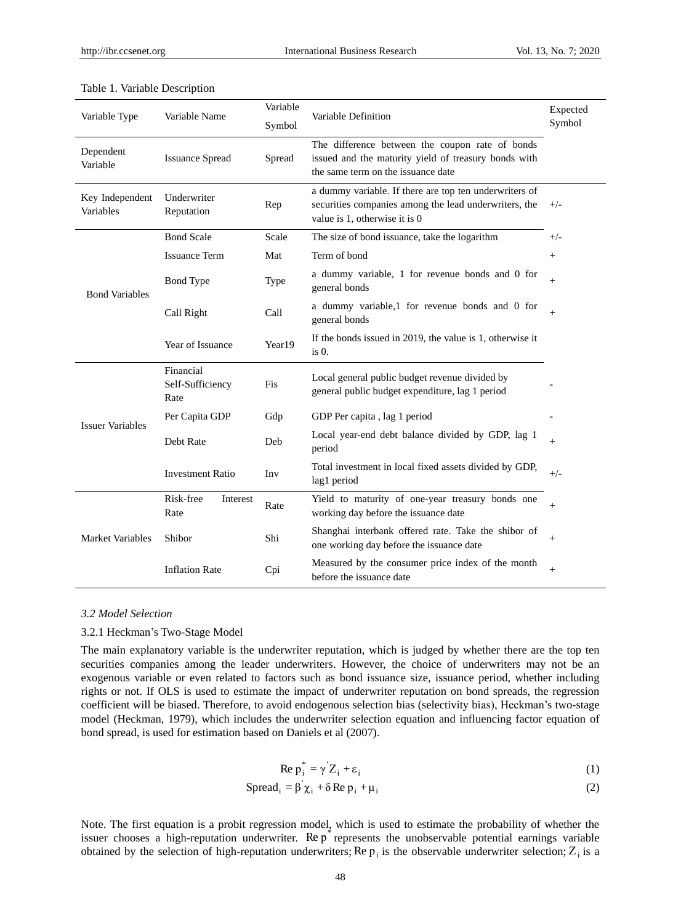| Variable Type                | Variable Name                         | Variable<br>Symbol | Variable Definition                                                                                                                              | Expected<br>Symbol |
|------------------------------|---------------------------------------|--------------------|--------------------------------------------------------------------------------------------------------------------------------------------------|--------------------|
| Dependent<br>Variable        | <b>Issuance Spread</b>                | Spread             | The difference between the coupon rate of bonds<br>issued and the maturity yield of treasury bonds with<br>the same term on the issuance date    |                    |
| Key Independent<br>Variables | Underwriter<br>Reputation             | Rep                | a dummy variable. If there are top ten underwriters of<br>securities companies among the lead underwriters, the<br>value is 1, otherwise it is 0 | $+/-$              |
| <b>Bond Variables</b>        | <b>Bond Scale</b>                     | Scale              | The size of bond issuance, take the logarithm                                                                                                    | $+/-$              |
|                              | <b>Issuance Term</b>                  | Mat                | Term of bond                                                                                                                                     | $^{+}$             |
|                              | <b>Bond</b> Type                      | Type               | a dummy variable, 1 for revenue bonds and 0 for<br>general bonds                                                                                 | $^{+}$             |
|                              | Call Right                            | Call               | a dummy variable,1 for revenue bonds and 0 for<br>general bonds                                                                                  | $^{+}$             |
|                              | Year of Issuance                      | Year19             | If the bonds issued in 2019, the value is 1, otherwise it<br>$is0$ .                                                                             |                    |
| <b>Issuer Variables</b>      | Financial<br>Self-Sufficiency<br>Rate | <b>Fis</b>         | Local general public budget revenue divided by<br>general public budget expenditure, lag 1 period                                                |                    |
|                              | Per Capita GDP                        | Gdp                | GDP Per capita, lag 1 period                                                                                                                     |                    |
|                              | Debt Rate                             | Deb                | Local year-end debt balance divided by GDP, lag 1<br>period                                                                                      | $^{+}$             |
|                              | <b>Investment Ratio</b>               | Inv                | Total investment in local fixed assets divided by GDP,<br>lag1 period                                                                            | $+/-$              |
| <b>Market Variables</b>      | Risk-free<br>Interest<br>Rate         | Rate               | Yield to maturity of one-year treasury bonds one<br>working day before the issuance date                                                         | $^{+}$             |
|                              | Shibor                                | Shi                | Shanghai interbank offered rate. Take the shibor of<br>one working day before the issuance date                                                  | $+$                |
|                              | <b>Inflation Rate</b>                 | Cpi                | Measured by the consumer price index of the month<br>before the issuance date                                                                    | $^{+}$             |

## Table 1. Variable Description

## *3.2 Model Selection*

#### 3.2.1 Heckman's Two-Stage Model

The main explanatory variable is the underwriter reputation, which is judged by whether there are the top ten securities companies among the leader underwriters. However, the choice of underwriters may not be an exogenous variable or even related to factors such as bond issuance size, issuance period, whether including rights or not. If OLS is used to estimate the impact of underwriter reputation on bond spreads, the regression coefficient will be biased. Therefore, to avoid endogenous selection bias (selectivity bias), Heckman's two-stage model (Heckman, 1979), which includes the underwriter selection equation and influencing factor equation of bond spread, is used for estimation based on Daniels et al (2007).

$$
\text{Re } p_i^* = \gamma' Z_i + \varepsilon_i \tag{1}
$$

$$
Spread_i = \beta \chi_i + \delta \operatorname{Re} p_i + \mu_i
$$
 (2)

Note. The first equation is a probit regression model, which is used to estimate the probability of whether the issuer chooses a high-reputation underwriter. Re  $p^*$  represents the unobservable potential earnings variable obtained by the selection of high-reputation underwriters; Re  $p_i$  is the observable underwriter selection; Z<sub>i</sub> is a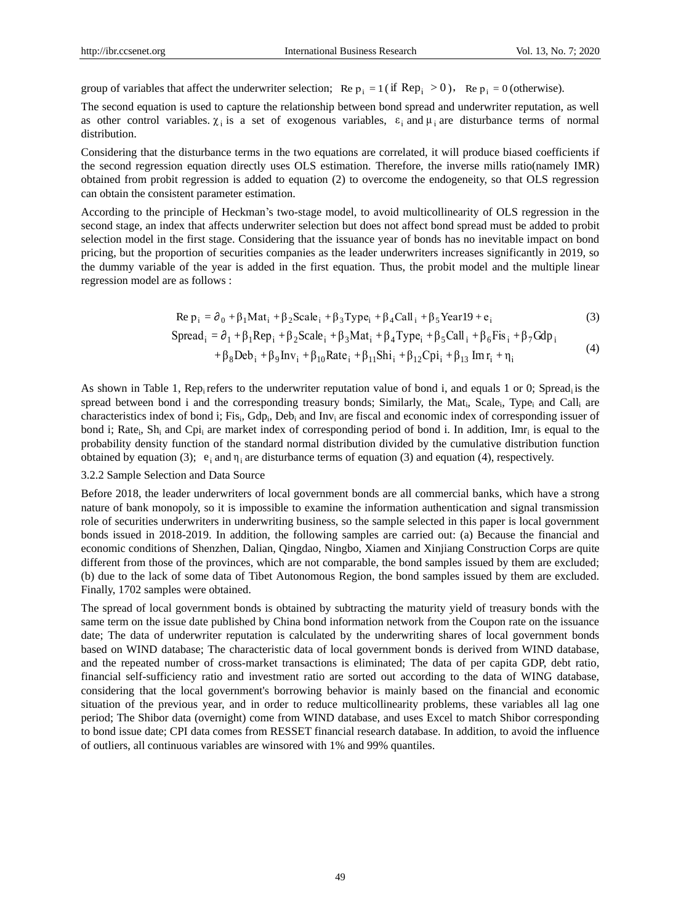$(4)$ 

group of variables that affect the underwriter selection; Re  $p_i = 1$  (if  $\text{Rep}_i > 0$ ), Re  $p_i = 0$  (otherwise).

The second equation is used to capture the relationship between bond spread and underwriter reputation, as well as other control variables.  $\chi_i$  is a set of exogenous variables,  $\varepsilon_i$  and  $\mu_i$  are disturbance terms of normal distribution.

Considering that the disturbance terms in the two equations are correlated, it will produce biased coefficients if the second regression equation directly uses OLS estimation. Therefore, the inverse mills ratio(namely IMR) obtained from probit regression is added to equation (2) to overcome the endogeneity, so that OLS regression can obtain the consistent parameter estimation.

According to the principle of Heckman's two-stage model, to avoid multicollinearity of OLS regression in the second stage, an index that affects underwriter selection but does not affect bond spread must be added to probit selection model in the first stage. Considering that the issuance year of bonds has no inevitable impact on bond pricing, but the proportion of securities companies as the leader underwriters increases significantly in 2019, so the dummy variable of the year is added in the first equation. Thus, the probit model and the multiple linear regression model are as follows :

$$
\text{Re } \mathbf{p}_i = \partial_0 + \beta_1 \text{Mat}_i + \beta_2 \text{Scale}_i + \beta_3 \text{Type}_i + \beta_4 \text{Call}_i + \beta_5 \text{Year19} + \mathbf{e}_i \tag{3}
$$

$$
\text{Spread}_{i} = \partial_1 + \beta_1 \text{Rep}_{i} + \beta_2 \text{Scale}_{i} + \beta_3 \text{Mat}_{i} + \beta_4 \text{Type}_{i} + \beta_5 \text{Call}_{i} + \beta_6 \text{Fis}_{i} + \beta_7 \text{Gdp}_{i}
$$

$$
a_{i} = \partial_{0} + p_{1} \text{Mat}_{i} + p_{2} \text{scale}_{i} + p_{3} \text{Type}_{i} + p_{4} \text{Can}_{i} + p_{5} \text{ rear19} + e_{i}
$$
\n
$$
a_{i} = \partial_{1} + \beta_{1} \text{Rep}_{i} + \beta_{2} \text{Scale}_{i} + \beta_{3} \text{Mat}_{i} + \beta_{4} \text{Type}_{i} + \beta_{5} \text{Call}_{i} + \beta_{6} \text{Fis}_{i} + \beta_{7} \text{Gdp}_{i}
$$
\n
$$
+ \beta_{8} \text{Deb}_{i} + \beta_{9} \text{Inv}_{i} + \beta_{10} \text{Rate}_{i} + \beta_{11} \text{Shi}_{i} + \beta_{12} \text{Cpi}_{i} + \beta_{13} \text{Im} \text{r}_{i} + \eta_{i}
$$
\n
$$
(4)
$$

As shown in Table 1, Rep<sub>i</sub> refers to the underwriter reputation value of bond i, and equals 1 or 0; Spread<sub>i</sub> is the spread between bond i and the corresponding treasury bonds; Similarly, the Mat<sub>i</sub>, Scale<sub>i</sub>, Type<sub>i</sub> and Call<sub>i</sub> are characteristics index of bond i; Fis<sub>i</sub>, Gdp<sub>i</sub>, Deb<sub>i</sub> and Inv<sub>i</sub> are fiscal and economic index of corresponding issuer of bond i; Rate<sub>i</sub>, Sh<sub>i</sub> and Cpi<sub>i</sub> are market index of corresponding period of bond i. In addition, Imr<sub>i</sub> is equal to the probability density function of the standard normal distribution divided by the cumulative distribution function obtained by equation (3);  $e_i$  and  $\eta_i$  are disturbance terms of equation (3) and equation (4), respectively.

## 3.2.2 Sample Selection and Data Source

Before 2018, the leader underwriters of local government bonds are all commercial banks, which have a strong nature of bank monopoly, so it is impossible to examine the information authentication and signal transmission role of securities underwriters in underwriting business, so the sample selected in this paper is local government bonds issued in 2018-2019. In addition, the following samples are carried out: (a) Because the financial and economic conditions of Shenzhen, Dalian, Qingdao, Ningbo, Xiamen and Xinjiang Construction Corps are quite different from those of the provinces, which are not comparable, the bond samples issued by them are excluded; (b) due to the lack of some data of Tibet Autonomous Region, the bond samples issued by them are excluded. Finally, 1702 samples were obtained.

The spread of local government bonds is obtained by subtracting the maturity yield of treasury bonds with the same term on the issue date published by China bond information network from the Coupon rate on the issuance date; The data of underwriter reputation is calculated by the underwriting shares of local government bonds based on WIND database; The characteristic data of local government bonds is derived from WIND database, and the repeated number of cross-market transactions is eliminated; The data of per capita GDP, debt ratio, financial self-sufficiency ratio and investment ratio are sorted out according to the data of WING database, considering that the local government's borrowing behavior is mainly based on the financial and economic situation of the previous year, and in order to reduce multicollinearity problems, these variables all lag one period; The Shibor data (overnight) come from WIND database, and uses Excel to match Shibor corresponding to bond issue date; CPI data comes from RESSET financial research database. In addition, to avoid the influence of outliers, all continuous variables are winsored with 1% and 99% quantiles.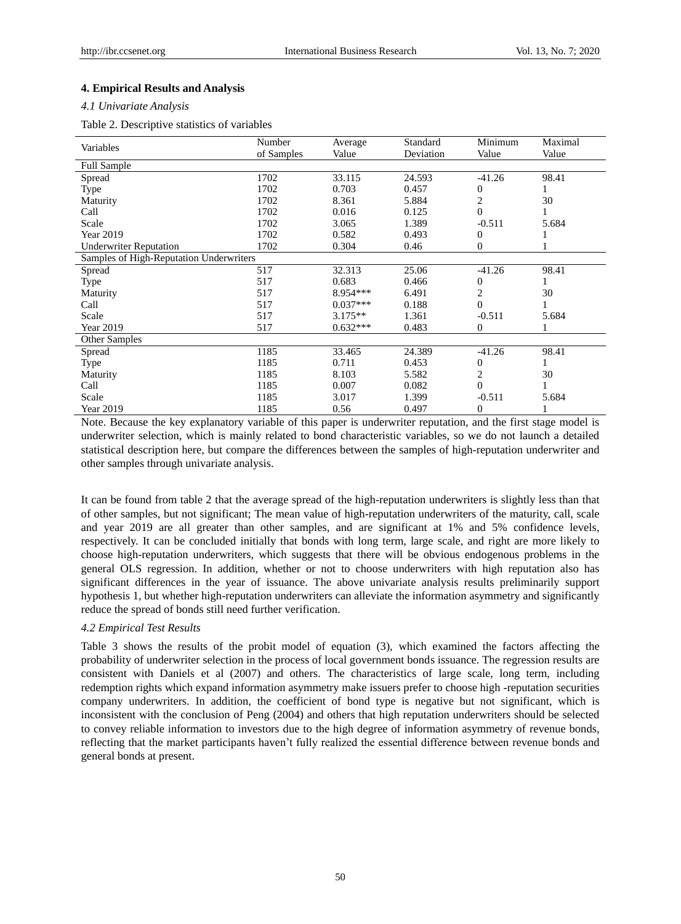#### **4. Empirical Results and Analysis**

#### *4.1 Univariate Analysis*

Table 2. Descriptive statistics of variables

| Variables                               | Number     | Average    | Standard  | Minimum        | Maximal |
|-----------------------------------------|------------|------------|-----------|----------------|---------|
|                                         | of Samples | Value      | Deviation | Value          | Value   |
| <b>Full Sample</b>                      |            |            |           |                |         |
| Spread                                  | 1702       | 33.115     | 24.593    | $-41.26$       | 98.41   |
| Type                                    | 1702       | 0.703      | 0.457     | 0              |         |
| Maturity                                | 1702       | 8.361      | 5.884     | 2              | 30      |
| Call                                    | 1702       | 0.016      | 0.125     | $\theta$       | 1       |
| Scale                                   | 1702       | 3.065      | 1.389     | $-0.511$       | 5.684   |
| Year 2019                               | 1702       | 0.582      | 0.493     | 0              |         |
| <b>Underwriter Reputation</b>           | 1702       | 0.304      | 0.46      | 0              |         |
| Samples of High-Reputation Underwriters |            |            |           |                |         |
| Spread                                  | 517        | 32.313     | 25.06     | $-41.26$       | 98.41   |
| Type                                    | 517        | 0.683      | 0.466     | 0              |         |
| Maturity                                | 517        | 8.954***   | 6.491     | 2              | 30      |
| Call                                    | 517        | $0.037***$ | 0.188     | $\theta$       |         |
| Scale                                   | 517        | $3.175**$  | 1.361     | $-0.511$       | 5.684   |
| Year 2019                               | 517        | $0.632***$ | 0.483     | 0              |         |
| Other Samples                           |            |            |           |                |         |
| Spread                                  | 1185       | 33.465     | 24.389    | $-41.26$       | 98.41   |
| Type                                    | 1185       | 0.711      | 0.453     | 0              |         |
| Maturity                                | 1185       | 8.103      | 5.582     | $\overline{c}$ | 30      |
| Call                                    | 1185       | 0.007      | 0.082     | $\theta$       |         |
| Scale                                   | 1185       | 3.017      | 1.399     | $-0.511$       | 5.684   |
| Year 2019                               | 1185       | 0.56       | 0.497     | 0              |         |

Note. Because the key explanatory variable of this paper is underwriter reputation, and the first stage model is underwriter selection, which is mainly related to bond characteristic variables, so we do not launch a detailed statistical description here, but compare the differences between the samples of high-reputation underwriter and other samples through univariate analysis.

It can be found from table 2 that the average spread of the high-reputation underwriters is slightly less than that of other samples, but not significant; The mean value of high-reputation underwriters of the maturity, call, scale and year 2019 are all greater than other samples, and are significant at 1% and 5% confidence levels, respectively. It can be concluded initially that bonds with long term, large scale, and right are more likely to choose high-reputation underwriters, which suggests that there will be obvious endogenous problems in the general OLS regression. In addition, whether or not to choose underwriters with high reputation also has significant differences in the year of issuance. The above univariate analysis results preliminarily support hypothesis 1, but whether high-reputation underwriters can alleviate the information asymmetry and significantly reduce the spread of bonds still need further verification.

#### *4.2 Empirical Test Results*

Table 3 shows the results of the probit model of equation (3), which examined the factors affecting the probability of underwriter selection in the process of local government bonds issuance. The regression results are consistent with Daniels et al (2007) and others. The characteristics of large scale, long term, including redemption rights which expand information asymmetry make issuers prefer to choose high -reputation securities company underwriters. In addition, the coefficient of bond type is negative but not significant, which is inconsistent with the conclusion of Peng (2004) and others that high reputation underwriters should be selected to convey reliable information to investors due to the high degree of information asymmetry of revenue bonds, reflecting that the market participants haven't fully realized the essential difference between revenue bonds and general bonds at present.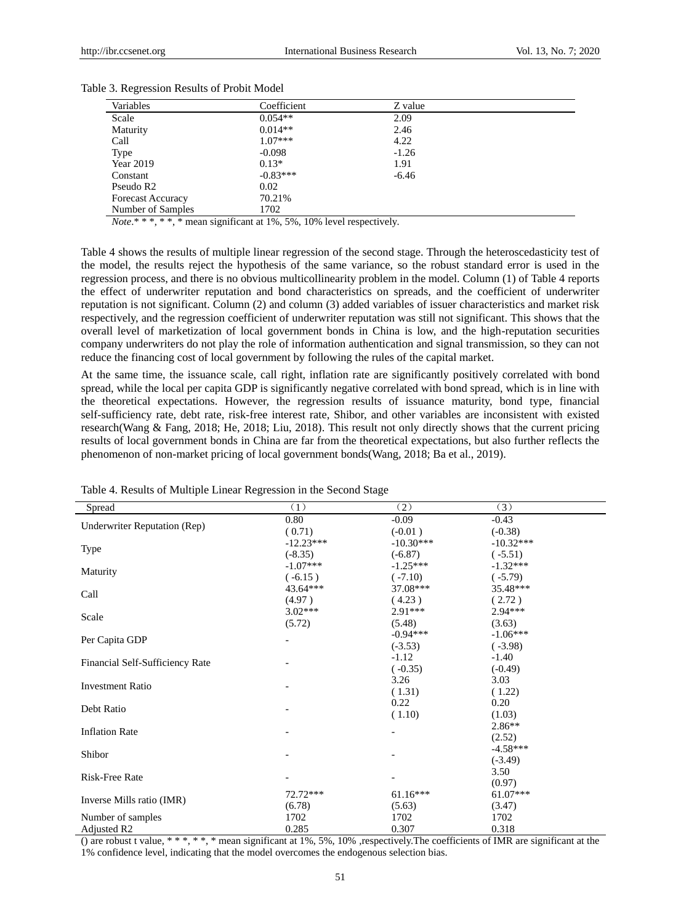| Variables                | Coefficient | Z value |
|--------------------------|-------------|---------|
| Scale                    | $0.054**$   | 2.09    |
| Maturity                 | $0.014**$   | 2.46    |
| Call                     | $1.07***$   | 4.22    |
| Type                     | $-0.098$    | $-1.26$ |
| Year 2019                | $0.13*$     | 1.91    |
| Constant                 | $-0.83***$  | $-6.46$ |
| Pseudo R <sub>2</sub>    | 0.02        |         |
| <b>Forecast Accuracy</b> | 70.21%      |         |
| Number of Samples        | 1702        |         |

| Table 3. Regression Results of Probit Model |  |  |
|---------------------------------------------|--|--|
|---------------------------------------------|--|--|

*Note*.\* \* \*, \* \*, \* mean significant at 1%, 5%, 10% level respectively.

Table 4 shows the results of multiple linear regression of the second stage. Through the heteroscedasticity test of the model, the results reject the hypothesis of the same variance, so the robust standard error is used in the regression process, and there is no obvious multicollinearity problem in the model. Column (1) of Table 4 reports the effect of underwriter reputation and bond characteristics on spreads, and the coefficient of underwriter reputation is not significant. Column (2) and column (3) added variables of issuer characteristics and market risk respectively, and the regression coefficient of underwriter reputation was still not significant. This shows that the overall level of marketization of local government bonds in China is low, and the high-reputation securities company underwriters do not play the role of information authentication and signal transmission, so they can not reduce the financing cost of local government by following the rules of the capital market.

At the same time, the issuance scale, call right, inflation rate are significantly positively correlated with bond spread, while the local per capita GDP is significantly negative correlated with bond spread, which is in line with the theoretical expectations. However, the regression results of issuance maturity, bond type, financial self-sufficiency rate, debt rate, risk-free interest rate, Shibor, and other variables are inconsistent with existed research(Wang & Fang, 2018; He, 2018; Liu, 2018). This result not only directly shows that the current pricing results of local government bonds in China are far from the theoretical expectations, but also further reflects the phenomenon of non-market pricing of local government bonds(Wang, 2018; Ba et al., 2019).

| Spread                              | (1)         | (2)         | (3)         |  |
|-------------------------------------|-------------|-------------|-------------|--|
| <b>Underwriter Reputation (Rep)</b> | 0.80        | $-0.09$     | $-0.43$     |  |
|                                     | (0.71)      | $(-0.01)$   | $(-0.38)$   |  |
| <b>Type</b>                         | $-12.23***$ | $-10.30***$ | $-10.32***$ |  |
|                                     | $(-8.35)$   | $(-6.87)$   | $(-5.51)$   |  |
|                                     | $-1.07***$  | $-1.25***$  | $-1.32***$  |  |
| Maturity                            | $(-6.15)$   | $(-7.10)$   | $(-5.79)$   |  |
| Call                                | 43.64***    | $37.08***$  | 35.48***    |  |
|                                     | (4.97)      | (4.23)      | (2.72)      |  |
|                                     | $3.02***$   | $2.91***$   | 2.94***     |  |
| Scale                               | (5.72)      | (5.48)      | (3.63)      |  |
|                                     |             | $-0.94***$  | $-1.06***$  |  |
| Per Capita GDP                      |             | $(-3.53)$   | $(-3.98)$   |  |
|                                     |             | $-1.12$     | $-1.40$     |  |
| Financial Self-Sufficiency Rate     |             | $(-0.35)$   | $(-0.49)$   |  |
|                                     |             | 3.26        | 3.03        |  |
| <b>Investment Ratio</b>             |             | (1.31)      | (1.22)      |  |
|                                     |             | 0.22        | 0.20        |  |
| Debt Ratio                          |             | (1.10)      | (1.03)      |  |
|                                     |             |             | $2.86**$    |  |
| <b>Inflation Rate</b>               |             |             | (2.52)      |  |
|                                     |             |             | $-4.58***$  |  |
| Shibor                              |             |             | $(-3.49)$   |  |
|                                     |             |             | 3.50        |  |
| <b>Risk-Free Rate</b>               |             |             | (0.97)      |  |
|                                     | 72.72***    | $61.16***$  | $61.07***$  |  |
| Inverse Mills ratio (IMR)           | (6.78)      | (5.63)      | (3.47)      |  |
| Number of samples                   | 1702        | 1702        | 1702        |  |
| Adjusted R <sub>2</sub>             | 0.285       | 0.307       | 0.318       |  |

Table 4. Results of Multiple Linear Regression in the Second Stage

() are robust t value, \* \* \*, \* \*, \* mean significant at 1%, 5%, 10% ,respectively.The coefficients of IMR are significant at the 1% confidence level, indicating that the model overcomes the endogenous selection bias.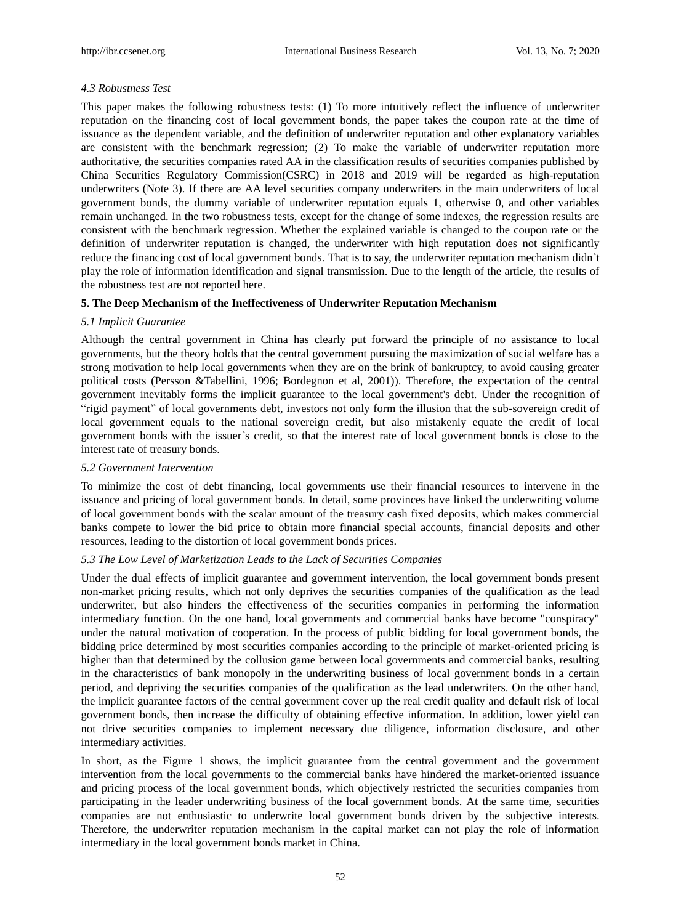#### *4.3 Robustness Test*

This paper makes the following robustness tests: (1) To more intuitively reflect the influence of underwriter reputation on the financing cost of local government bonds, the paper takes the coupon rate at the time of issuance as the dependent variable, and the definition of underwriter reputation and other explanatory variables are consistent with the benchmark regression; (2) To make the variable of underwriter reputation more authoritative, the securities companies rated AA in the classification results of securities companies published by China Securities Regulatory Commission(CSRC) in 2018 and 2019 will be regarded as high-reputation underwriters (Note 3). If there are AA level securities company underwriters in the main underwriters of local government bonds, the dummy variable of underwriter reputation equals 1, otherwise 0, and other variables remain unchanged. In the two robustness tests, except for the change of some indexes, the regression results are consistent with the benchmark regression. Whether the explained variable is changed to the coupon rate or the definition of underwriter reputation is changed, the underwriter with high reputation does not significantly reduce the financing cost of local government bonds. That is to say, the underwriter reputation mechanism didn't play the role of information identification and signal transmission. Due to the length of the article, the results of the robustness test are not reported here.

#### **5. The Deep Mechanism of the Ineffectiveness of Underwriter Reputation Mechanism**

#### *5.1 Implicit Guarantee*

Although the central government in China has clearly put forward the principle of no assistance to local governments, but the theory holds that the central government pursuing the maximization of social welfare has a strong motivation to help local governments when they are on the brink of bankruptcy, to avoid causing greater political costs (Persson &Tabellini, 1996; Bordegnon et al, 2001)). Therefore, the expectation of the central government inevitably forms the implicit guarantee to the local government's debt. Under the recognition of "rigid payment" of local governments debt, investors not only form the illusion that the sub-sovereign credit of local government equals to the national sovereign credit, but also mistakenly equate the credit of local government bonds with the issuer's credit, so that the interest rate of local government bonds is close to the interest rate of treasury bonds.

### *5.2 Government Intervention*

To minimize the cost of debt financing, local governments use their financial resources to intervene in the issuance and pricing of local government bonds. In detail, some provinces have linked the underwriting volume of local government bonds with the scalar amount of the treasury cash fixed deposits, which makes commercial banks compete to lower the bid price to obtain more financial special accounts, financial deposits and other resources, leading to the distortion of local government bonds prices.

#### *5.3 The Low Level of Marketization Leads to the Lack of Securities Companies*

Under the dual effects of implicit guarantee and government intervention, the local government bonds present non-market pricing results, which not only deprives the securities companies of the qualification as the lead underwriter, but also hinders the effectiveness of the securities companies in performing the information intermediary function. On the one hand, local governments and commercial banks have become "conspiracy" under the natural motivation of cooperation. In the process of public bidding for local government bonds, the bidding price determined by most securities companies according to the principle of market-oriented pricing is higher than that determined by the collusion game between local governments and commercial banks, resulting in the characteristics of bank monopoly in the underwriting business of local government bonds in a certain period, and depriving the securities companies of the qualification as the lead underwriters. On the other hand, the implicit guarantee factors of the central government cover up the real credit quality and default risk of local government bonds, then increase the difficulty of obtaining effective information. In addition, lower yield can not drive securities companies to implement necessary due diligence, information disclosure, and other intermediary activities.

In short, as the Figure 1 shows, the implicit guarantee from the central government and the government intervention from the local governments to the commercial banks have hindered the market-oriented issuance and pricing process of the local government bonds, which objectively restricted the securities companies from participating in the leader underwriting business of the local government bonds. At the same time, securities companies are not enthusiastic to underwrite local government bonds driven by the subjective interests. Therefore, the underwriter reputation mechanism in the capital market can not play the role of information intermediary in the local government bonds market in China.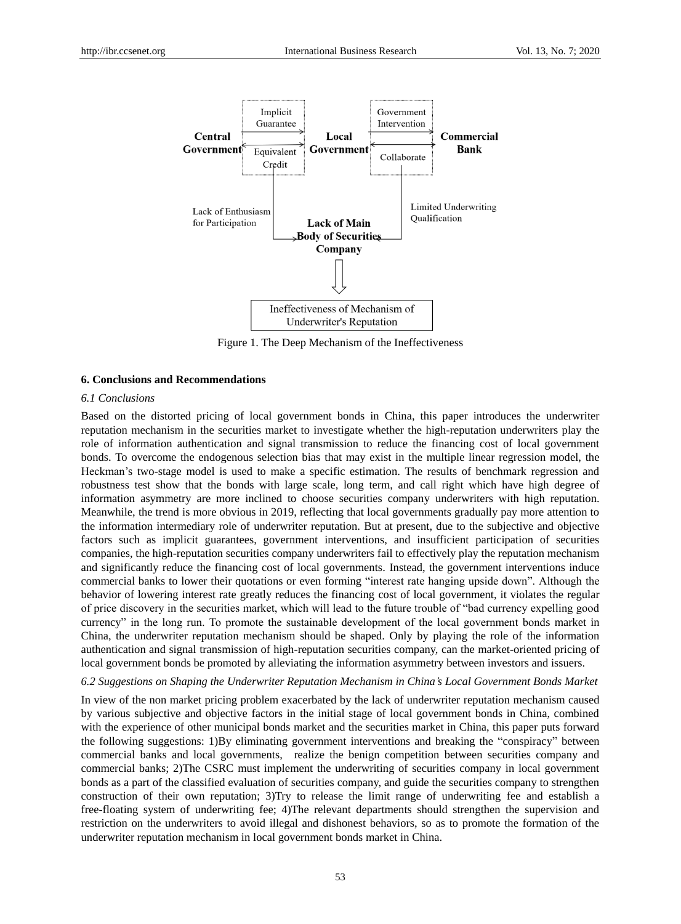

Figure 1. The Deep Mechanism of the Ineffectiveness

#### **6. Conclusions and Recommendations**

#### *6.1 Conclusions*

Based on the distorted pricing of local government bonds in China, this paper introduces the underwriter reputation mechanism in the securities market to investigate whether the high-reputation underwriters play the role of information authentication and signal transmission to reduce the financing cost of local government bonds. To overcome the endogenous selection bias that may exist in the multiple linear regression model, the Heckman's two-stage model is used to make a specific estimation. The results of benchmark regression and robustness test show that the bonds with large scale, long term, and call right which have high degree of information asymmetry are more inclined to choose securities company underwriters with high reputation. Meanwhile, the trend is more obvious in 2019, reflecting that local governments gradually pay more attention to the information intermediary role of underwriter reputation. But at present, due to the subjective and objective factors such as implicit guarantees, government interventions, and insufficient participation of securities companies, the high-reputation securities company underwriters fail to effectively play the reputation mechanism and significantly reduce the financing cost of local governments. Instead, the government interventions induce commercial banks to lower their quotations or even forming "interest rate hanging upside down". Although the behavior of lowering interest rate greatly reduces the financing cost of local government, it violates the regular of price discovery in the securities market, which will lead to the future trouble of "bad currency expelling good currency" in the long run. To promote the sustainable development of the local government bonds market in China, the underwriter reputation mechanism should be shaped. Only by playing the role of the information authentication and signal transmission of high-reputation securities company, can the market-oriented pricing of local government bonds be promoted by alleviating the information asymmetry between investors and issuers.

#### *6.2 Suggestions on Shaping the Underwriter Reputation Mechanism in China's Local Government Bonds Market*

In view of the non market pricing problem exacerbated by the lack of underwriter reputation mechanism caused by various subjective and objective factors in the initial stage of local government bonds in China, combined with the experience of other municipal bonds market and the securities market in China, this paper puts forward the following suggestions: 1)By eliminating government interventions and breaking the "conspiracy" between commercial banks and local governments, realize the benign competition between securities company and commercial banks; 2)The CSRC must implement the underwriting of securities company in local government bonds as a part of the classified evaluation of securities company, and guide the securities company to strengthen construction of their own reputation; 3)Try to release the limit range of underwriting fee and establish a free-floating system of underwriting fee; 4)The relevant departments should strengthen the supervision and restriction on the underwriters to avoid illegal and dishonest behaviors, so as to promote the formation of the underwriter reputation mechanism in local government bonds market in China.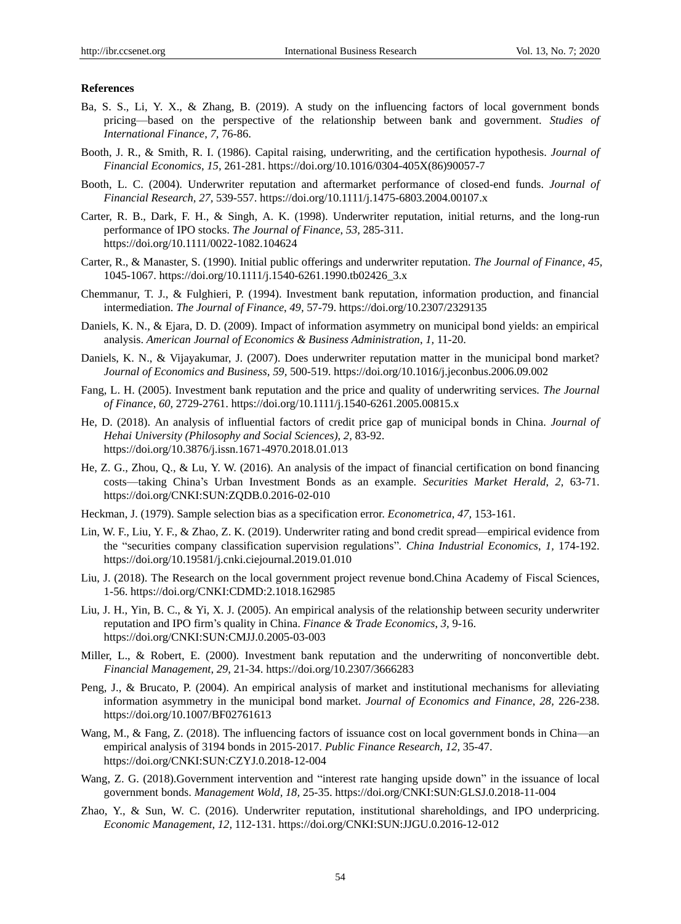#### **References**

- Ba, S. S., Li, Y. X., & Zhang, B. (2019). A study on the influencing factors of local government bonds pricing—based on the perspective of the relationship between bank and government. *Studies of International Finance*, *7,* 76-86.
- Booth, J. R., & Smith, R. I. (1986). Capital raising, underwriting, and the certification hypothesis. *Journal of Financial Economics*, *15,* 261-281. https://doi.org/10.1016/0304-405X(86)90057-7
- Booth, L. C. (2004). Underwriter reputation and aftermarket performance of closed-end funds. *Journal of Financial Research, 27,* 539-557. https://doi.org/10.1111/j.1475-6803.2004.00107.x
- Carter, R. B., Dark, F. H., & Singh, A. K. (1998). Underwriter reputation, initial returns, and the long-run performance of IPO stocks. *The Journal of Finance*, *53,* 285-311. https://doi.org/10.1111/0022-1082.104624
- Carter, R., & Manaster, S. (1990). Initial public offerings and underwriter reputation. *The Journal of Finance*, *45,*  1045-1067. https://doi.org/10.1111/j.1540-6261.1990.tb02426\_3.x
- Chemmanur, T. J., & Fulghieri, P. (1994). Investment bank reputation, information production, and financial intermediation. *The Journal of Finance*, *49,* 57-79. https://doi.org/10.2307/2329135
- Daniels, K. N., & Ejara, D. D. (2009). Impact of information asymmetry on municipal bond yields: an empirical analysis. *American Journal of Economics & Business Administration*, *1,* 11-20.
- Daniels, K. N., & Vijayakumar, J. (2007). Does underwriter reputation matter in the municipal bond market? *Journal of Economics and Business, 59,* 500-519. https://doi.org/10.1016/j.jeconbus.2006.09.002
- Fang, L. H. (2005). Investment bank reputation and the price and quality of underwriting services. *The Journal of Finance*, *60,* 2729-2761. https://doi.org/10.1111/j.1540-6261.2005.00815.x
- He, D. (2018). An analysis of influential factors of credit price gap of municipal bonds in China. *Journal of Hehai University (Philosophy and Social Sciences)*, *2,* 83-92. https://doi.org/10.3876/j.issn.1671-4970.2018.01.013
- He, Z. G., Zhou, Q., & Lu, Y. W. (2016). An analysis of the impact of financial certification on bond financing costs—taking China's Urban Investment Bonds as an example. *Securities Market Herald*, *2,* 63-71. https://doi.org/CNKI:SUN:ZQDB.0.2016-02-010
- Heckman, J. (1979). Sample selection bias as a specification error. *Econometrica*, *47,* 153-161.
- Lin, W. F., Liu, Y. F., & Zhao, Z. K. (2019). Underwriter rating and bond credit spread—empirical evidence from the "securities company classification supervision regulations"*. China Industrial Economics*, *1,* 174-192. https://doi.org/10.19581/j.cnki.ciejournal.2019.01.010
- Liu, J. (2018). The Research on the local government project revenue bond.China Academy of Fiscal Sciences, 1-56. https://doi.org/CNKI:CDMD:2.1018.162985
- Liu, J. H., Yin, B. C., & Yi, X. J. (2005). An empirical analysis of the relationship between security underwriter reputation and IPO firm's quality in China. *Finance & Trade Economics*, *3,* 9-16. https://doi.org/CNKI:SUN:CMJJ.0.2005-03-003
- Miller, L., & Robert, E. (2000). Investment bank reputation and the underwriting of nonconvertible debt. *Financial Management*, *29*, 21-34. https://doi.org/10.2307/3666283
- Peng, J., & Brucato, P. (2004). An empirical analysis of market and institutional mechanisms for alleviating information asymmetry in the municipal bond market. *Journal of Economics and Finance*, *28,* 226-238. https://doi.org/10.1007/BF02761613
- Wang, M., & Fang, Z. (2018). The influencing factors of issuance cost on local government bonds in China—an empirical analysis of 3194 bonds in 2015-2017. *Public Finance Research*, *12,* 35-47. https://doi.org/CNKI:SUN:CZYJ.0.2018-12-004
- Wang, Z. G. (2018).Government intervention and "interest rate hanging upside down" in the issuance of local government bonds. *Management Wold, 18,* 25-35. https://doi.org/CNKI:SUN:GLSJ.0.2018-11-004
- Zhao, Y., & Sun, W. C. (2016). Underwriter reputation, institutional shareholdings, and IPO underpricing. *Economic Management*, *12,* 112-131. https://doi.org/CNKI:SUN:JJGU.0.2016-12-012